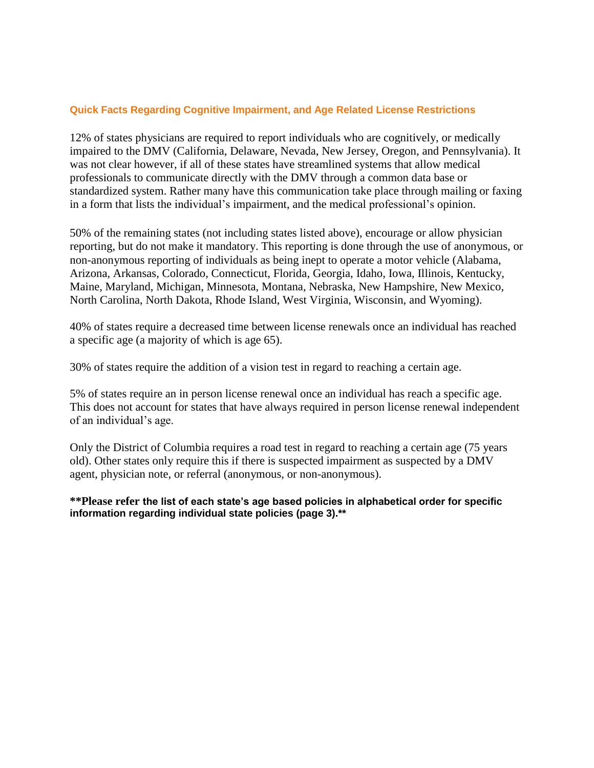### **Quick Facts Regarding Cognitive Impairment, and Age Related License Restrictions**

12% of states physicians are required to report individuals who are cognitively, or medically impaired to the DMV (California, Delaware, Nevada, New Jersey, Oregon, and Pennsylvania). It was not clear however, if all of these states have streamlined systems that allow medical professionals to communicate directly with the DMV through a common data base or standardized system. Rather many have this communication take place through mailing or faxing in a form that lists the individual's impairment, and the medical professional's opinion.

50% of the remaining states (not including states listed above), encourage or allow physician reporting, but do not make it mandatory. This reporting is done through the use of anonymous, or non-anonymous reporting of individuals as being inept to operate a motor vehicle (Alabama, Arizona, Arkansas, Colorado, Connecticut, Florida, Georgia, Idaho, Iowa, Illinois, Kentucky, Maine, Maryland, Michigan, Minnesota, Montana, Nebraska, New Hampshire, New Mexico, North Carolina, North Dakota, Rhode Island, West Virginia, Wisconsin, and Wyoming).

40% of states require a decreased time between license renewals once an individual has reached a specific age (a majority of which is age 65).

30% of states require the addition of a vision test in regard to reaching a certain age.

5% of states require an in person license renewal once an individual has reach a specific age. This does not account for states that have always required in person license renewal independent of an individual's age.

Only the District of Columbia requires a road test in regard to reaching a certain age (75 years old). Other states only require this if there is suspected impairment as suspected by a DMV agent, physician note, or referral (anonymous, or non-anonymous).

**\*\*Please refer the list of each state's age based policies in alphabetical order for specific information regarding individual state policies (page 3).\*\***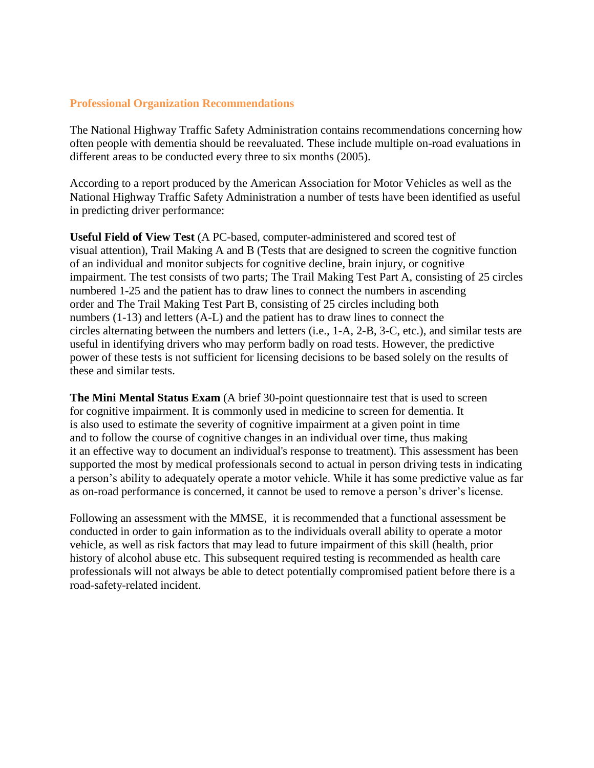## **Professional Organization Recommendations**

The National Highway Traffic Safety Administration contains recommendations concerning how often people with dementia should be reevaluated. These include multiple on-road evaluations in different areas to be conducted every three to six months (2005).

According to a report produced by the American Association for Motor Vehicles as well as the National Highway Traffic Safety Administration a number of tests have been identified as useful in predicting driver performance:

**Useful Field of View Test** (A PC-based, computer-administered and scored test of visual attention), Trail Making A and B (Tests that are designed to screen the cognitive function of an individual and monitor subjects for cognitive decline, brain injury, or cognitive impairment. The test consists of two parts; The Trail Making Test Part A, consisting of 25 circles numbered 1-25 and the patient has to draw lines to connect the numbers in ascending order and The Trail Making Test Part B, consisting of 25 circles including both numbers (1-13) and letters (A-L) and the patient has to draw lines to connect the circles alternating between the numbers and letters (i.e., 1-A, 2-B, 3-C, etc.), and similar tests are useful in identifying drivers who may perform badly on road tests. However, the predictive power of these tests is not sufficient for licensing decisions to be based solely on the results of these and similar tests.

**The Mini Mental Status Exam** (A brief 30-point questionnaire test that is used to screen for cognitive impairment. It is commonly used in medicine to screen for dementia. It is also used to estimate the severity of cognitive impairment at a given point in time and to follow the course of cognitive changes in an individual over time, thus making it an effective way to document an individual's response to treatment). This assessment has been supported the most by medical professionals second to actual in person driving tests in indicating a person's ability to adequately operate a motor vehicle. While it has some predictive value as far as on-road performance is concerned, it cannot be used to remove a person's driver's license.

Following an assessment with the MMSE, it is recommended that a functional assessment be conducted in order to gain information as to the individuals overall ability to operate a motor vehicle, as well as risk factors that may lead to future impairment of this skill (health, prior history of alcohol abuse etc. This subsequent required testing is recommended as health care professionals will not always be able to detect potentially compromised patient before there is a road-safety-related incident.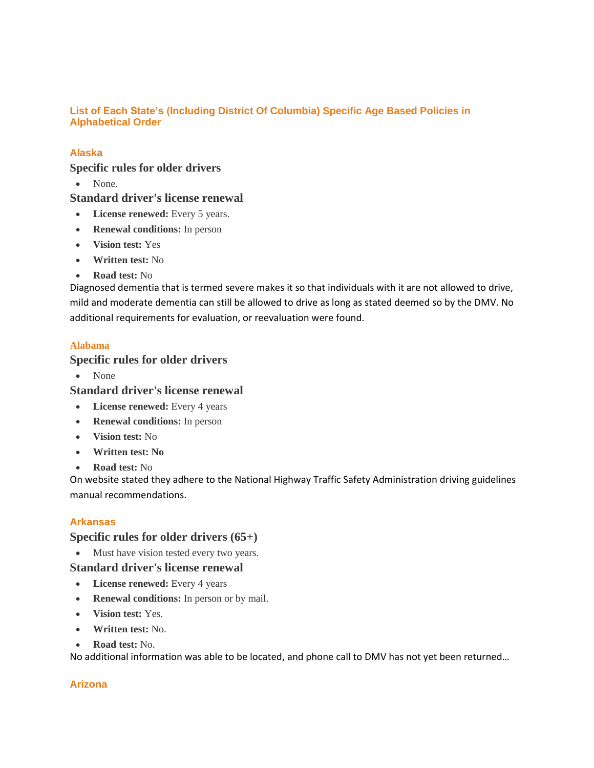### **List of Each State's (Including District Of Columbia) Specific Age Based Policies in Alphabetical Order**

## **Alaska**

### **Specific rules for older drivers**

• None.

## **Standard driver's license renewal**

- **License renewed:** Every 5 years.
- **Renewal conditions:** In person
- **Vision test:** Yes
- **Written test:** No
- **Road test:** No

Diagnosed dementia that is termed severe makes it so that individuals with it are not allowed to drive, mild and moderate dementia can still be allowed to drive as long as stated deemed so by the DMV. No additional requirements for evaluation, or reevaluation were found.

### **Alabama**

## **Specific rules for older drivers**

None

## **Standard driver's license renewal**

- **License renewed:** Every 4 years
- **Renewal conditions:** In person
- **Vision test:** No
- **Written test: No**
- **Road test:** No

On website stated they adhere to the National Highway Traffic Safety Administration driving guidelines manual recommendations.

### **Arkansas**

### **Specific rules for older drivers (65+)**

• Must have vision tested every two years.

### **Standard driver's license renewal**

- **License renewed:** Every 4 years
- **Renewal conditions:** In person or by mail.
- **Vision test:** Yes.
- **Written test:** No.
- **Road test:** No.

No additional information was able to be located, and phone call to DMV has not yet been returned…

### **Arizona**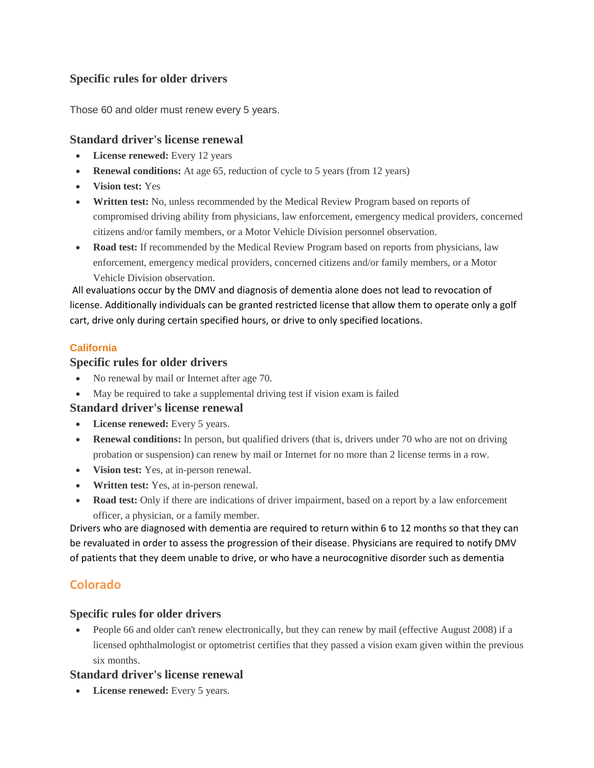# **Specific rules for older drivers**

Those 60 and older must renew every 5 years.

## **Standard driver's license renewal**

- **License renewed:** Every 12 years
- **Renewal conditions:** At age 65, reduction of cycle to 5 years (from 12 years)
- **Vision test:** Yes
- **Written test:** No, unless recommended by the Medical Review Program based on reports of compromised driving ability from physicians, law enforcement, emergency medical providers, concerned citizens and/or family members, or a Motor Vehicle Division personnel observation.
- **Road test:** If recommended by the Medical Review Program based on reports from physicians, law enforcement, emergency medical providers, concerned citizens and/or family members, or a Motor Vehicle Division observation.

All evaluations occur by the DMV and diagnosis of dementia alone does not lead to revocation of license. Additionally individuals can be granted restricted license that allow them to operate only a golf cart, drive only during certain specified hours, or drive to only specified locations.

## **California**

## **Specific rules for older drivers**

- No renewal by mail or Internet after age 70.
- May be required to take a supplemental driving test if vision exam is failed

# **Standard driver's license renewal**

- **License renewed:** Every 5 years.
- **Renewal conditions:** In person, but qualified drivers (that is, drivers under 70 who are not on driving probation or suspension) can renew by mail or Internet for no more than 2 license terms in a row.
- **Vision test:** Yes, at in-person renewal.
- **Written test:** Yes, at in-person renewal.
- **Road test:** Only if there are indications of driver impairment, based on a report by a law enforcement officer, a physician, or a family member.

Drivers who are diagnosed with dementia are required to return within 6 to 12 months so that they can be revaluated in order to assess the progression of their disease. Physicians are required to notify DMV of patients that they deem unable to drive, or who have a neurocognitive disorder such as dementia

# **Colorado**

# **Specific rules for older drivers**

• People 66 and older can't renew electronically, but they can renew by mail (effective August 2008) if a licensed ophthalmologist or optometrist certifies that they passed a vision exam given within the previous six months.

# **Standard driver's license renewal**

**License renewed:** Every 5 years.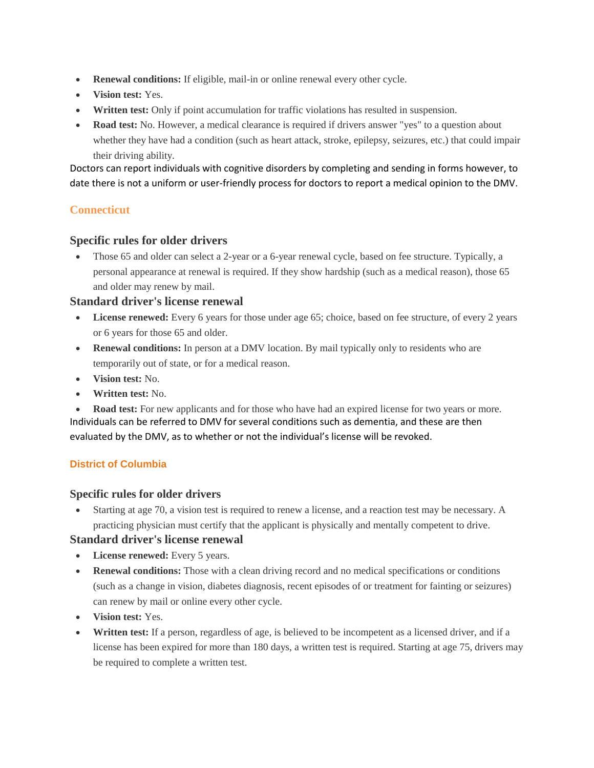- **Renewal conditions:** If eligible, mail-in or online renewal every other cycle.
- **Vision test:** Yes.
- **Written test:** Only if point accumulation for traffic violations has resulted in suspension.
- **Road test:** No. However, a medical clearance is required if drivers answer "yes" to a question about whether they have had a condition (such as heart attack, stroke, epilepsy, seizures, etc.) that could impair their driving ability.

Doctors can report individuals with cognitive disorders by completing and sending in forms however, to date there is not a uniform or user-friendly process for doctors to report a medical opinion to the DMV.

## **Connecticut**

### **Specific rules for older drivers**

 Those 65 and older can select a 2-year or a 6-year renewal cycle, based on fee structure. Typically, a personal appearance at renewal is required. If they show hardship (such as a medical reason), those 65 and older may renew by mail.

### **Standard driver's license renewal**

- **License renewed:** Every 6 years for those under age 65; choice, based on fee structure, of every 2 years or 6 years for those 65 and older.
- **Renewal conditions:** In person at a DMV location. By mail typically only to residents who are temporarily out of state, or for a medical reason.
- **Vision test:** No.
- **Written test:** No.

 **Road test:** For new applicants and for those who have had an expired license for two years or more. Individuals can be referred to DMV for several conditions such as dementia, and these are then evaluated by the DMV, as to whether or not the individual's license will be revoked.

## **District of Columbia**

### **Specific rules for older drivers**

 Starting at age 70, a vision test is required to renew a license, and a reaction test may be necessary. A practicing physician must certify that the applicant is physically and mentally competent to drive.

- **License renewed:** Every 5 years.
- **Renewal conditions:** Those with a clean driving record and no medical specifications or conditions (such as a change in vision, diabetes diagnosis, recent episodes of or treatment for fainting or seizures) can renew by mail or online every other cycle.
- **Vision test:** Yes.
- **Written test:** If a person, regardless of age, is believed to be incompetent as a licensed driver, and if a license has been expired for more than 180 days, a written test is required. Starting at age 75, drivers may be required to complete a written test.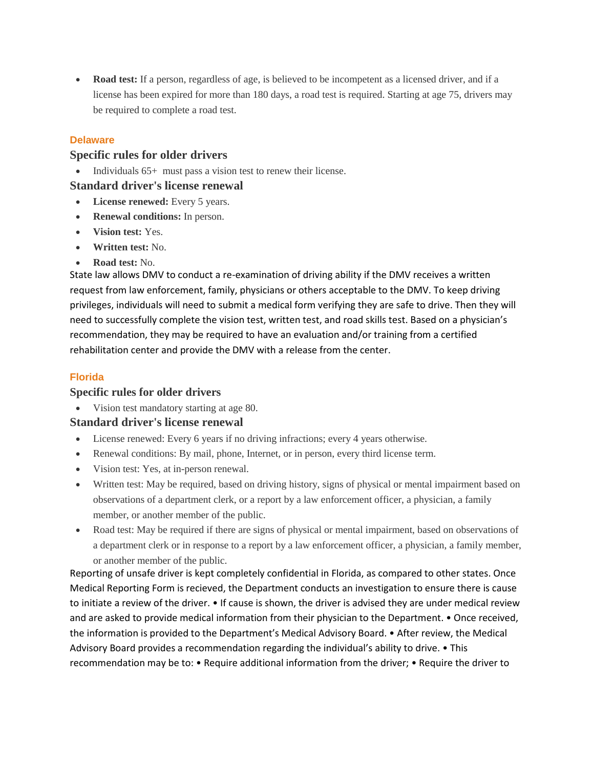**Road test:** If a person, regardless of age, is believed to be incompetent as a licensed driver, and if a license has been expired for more than 180 days, a road test is required. Starting at age 75, drivers may be required to complete a road test.

### **Delaware**

## **Specific rules for older drivers**

• Individuals 65+ must pass a vision test to renew their license.

### **Standard driver's license renewal**

- **License renewed:** Every 5 years.
- **Renewal conditions:** In person.
- **Vision test:** Yes.
- **Written test:** No.
- **Road test:** No.

State law allows DMV to conduct a re-examination of driving ability if the DMV receives a written request from law enforcement, family, physicians or others acceptable to the DMV. To keep driving privileges, individuals will need to submit a medical form verifying they are safe to drive. Then they will need to successfully complete the vision test, written test, and road skills test. Based on a physician's recommendation, they may be required to have an evaluation and/or training from a certified rehabilitation center and provide the DMV with a release from the center.

### **Florida**

## **Specific rules for older drivers**

Vision test mandatory starting at age 80.

## **Standard driver's license renewal**

- License renewed: Every 6 years if no driving infractions; every 4 years otherwise.
- Renewal conditions: By mail, phone, Internet, or in person, every third license term.
- Vision test: Yes, at in-person renewal.
- Written test: May be required, based on driving history, signs of physical or mental impairment based on observations of a department clerk, or a report by a law enforcement officer, a physician, a family member, or another member of the public.
- Road test: May be required if there are signs of physical or mental impairment, based on observations of a department clerk or in response to a report by a law enforcement officer, a physician, a family member, or another member of the public.

Reporting of unsafe driver is kept completely confidential in Florida, as compared to other states. Once Medical Reporting Form is recieved, the Department conducts an investigation to ensure there is cause to initiate a review of the driver. • If cause is shown, the driver is advised they are under medical review and are asked to provide medical information from their physician to the Department. • Once received, the information is provided to the Department's Medical Advisory Board. • After review, the Medical Advisory Board provides a recommendation regarding the individual's ability to drive. • This recommendation may be to: • Require additional information from the driver; • Require the driver to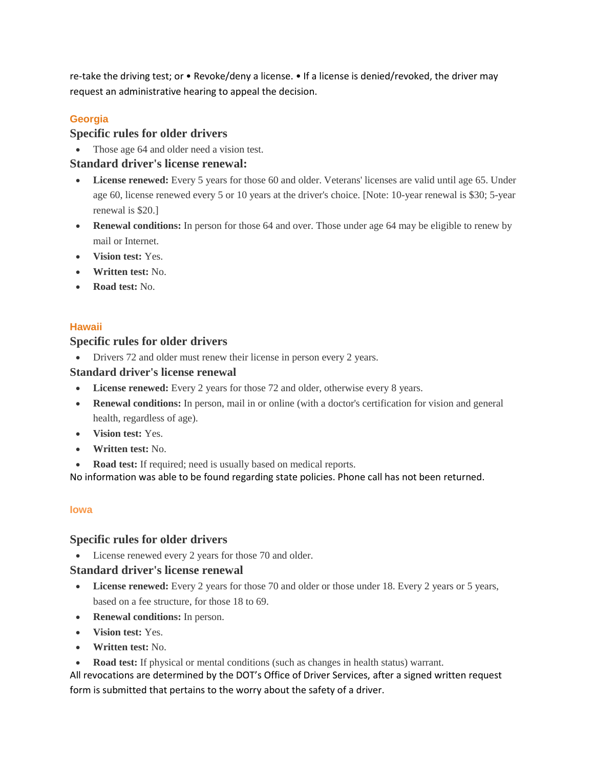re-take the driving test; or • Revoke/deny a license. • If a license is denied/revoked, the driver may request an administrative hearing to appeal the decision.

# **Georgia**

# **Specific rules for older drivers**

• Those age 64 and older need a vision test.

# **Standard driver's license renewal:**

- License **renewed:** Every 5 years for those 60 and older. Veterans' licenses are valid until age 65. Under age 60, license renewed every 5 or 10 years at the driver's choice. [Note: 10-year renewal is \$30; 5-year renewal is \$20.]
- **Renewal conditions:** In person for those 64 and over. Those under age 64 may be eligible to renew by mail or Internet.
- **Vision test:** Yes.
- **Written test:** No.
- **Road test:** No.

## **Hawaii**

## **Specific rules for older drivers**

Drivers 72 and older must renew their license in person every 2 years.

## **Standard driver's license renewal**

- **License renewed:** Every 2 years for those 72 and older, otherwise every 8 years.
- **Renewal conditions:** In person, mail in or online (with a doctor's certification for vision and general health, regardless of age).
- **Vision test:** Yes.
- **Written test:** No.
- **Road test:** If required; need is usually based on medical reports.

No information was able to be found regarding state policies. Phone call has not been returned.

## **Iowa**

## **Specific rules for older drivers**

• License renewed every 2 years for those 70 and older.

# **Standard driver's license renewal**

- **License renewed:** Every 2 years for those 70 and older or those under 18. Every 2 years or 5 years, based on a fee structure, for those 18 to 69.
- **Renewal conditions:** In person.
- **Vision test:** Yes.
- **Written test:** No.
- **Road test:** If physical or mental conditions (such as changes in health status) warrant.

All revocations are determined by the DOT's Office of Driver Services, after a signed written request form is submitted that pertains to the worry about the safety of a driver.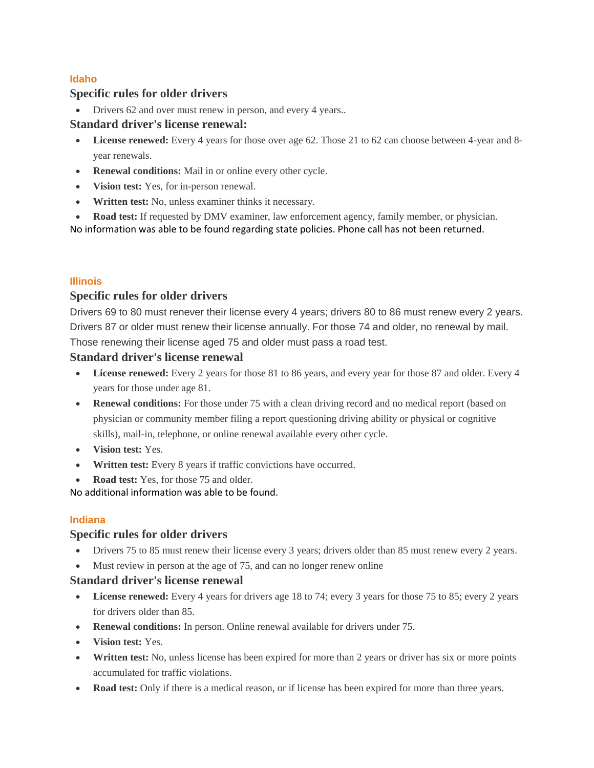## **Idaho**

## **Specific rules for older drivers**

• Drivers 62 and over must renew in person, and every 4 years..

## **Standard driver's license renewal:**

- **License renewed:** Every 4 years for those over age 62. Those 21 to 62 can choose between 4-year and 8 year renewals.
- **Renewal conditions:** Mail in or online every other cycle.
- **Vision test:** Yes, for in-person renewal.
- **Written test:** No, unless examiner thinks it necessary.
- **Road test:** If requested by DMV examiner, law enforcement agency, family member, or physician.

No information was able to be found regarding state policies. Phone call has not been returned.

## **Illinois**

# **Specific rules for older drivers**

Drivers 69 to 80 must renever their license every 4 years; drivers 80 to 86 must renew every 2 years. Drivers 87 or older must renew their license annually. For those 74 and older, no renewal by mail. Those renewing their license aged 75 and older must pass a road test.

## **Standard driver's license renewal**

- **License renewed:** Every 2 years for those 81 to 86 years, and every year for those 87 and older. Every 4 years for those under age 81.
- **Renewal conditions:** For those under 75 with a clean driving record and no medical report (based on physician or community member filing a report questioning driving ability or physical or cognitive skills), mail-in, telephone, or online renewal available every other cycle.
- **Vision test:** Yes.
- **Written test:** Every 8 years if traffic convictions have occurred.
- Road test: Yes, for those 75 and older.

No additional information was able to be found.

## **Indiana**

## **Specific rules for older drivers**

- Drivers 75 to 85 must renew their license every 3 years; drivers older than 85 must renew every 2 years.
- Must review in person at the age of 75, and can no longer renew online

- **License renewed:** Every 4 years for drivers age 18 to 74; every 3 years for those 75 to 85; every 2 years for drivers older than 85.
- **Renewal conditions:** In person. Online renewal available for drivers under 75.
- **Vision test:** Yes.
- **Written test:** No, unless license has been expired for more than 2 years or driver has six or more points accumulated for traffic violations.
- **Road test:** Only if there is a medical reason, or if license has been expired for more than three years.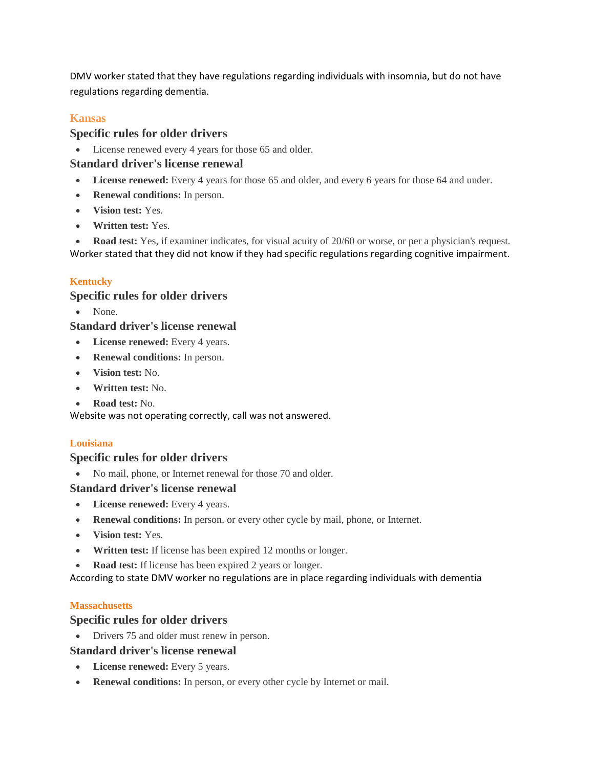DMV worker stated that they have regulations regarding individuals with insomnia, but do not have regulations regarding dementia.

# **Kansas**

## **Specific rules for older drivers**

License renewed every 4 years for those 65 and older.

## **Standard driver's license renewal**

- **License renewed:** Every 4 years for those 65 and older, and every 6 years for those 64 and under.
- **Renewal conditions:** In person.
- **Vision test:** Yes.
- **Written test:** Yes.

 **Road test:** Yes, if examiner indicates, for visual acuity of 20/60 or worse, or per a physician's request. Worker stated that they did not know if they had specific regulations regarding cognitive impairment.

## **Kentucky**

## **Specific rules for older drivers**

• None.

# **Standard driver's license renewal**

- **License renewed:** Every 4 years.
- **Renewal conditions:** In person.
- **Vision test:** No.
- **Written test:** No.
- **Road test:** No.

Website was not operating correctly, call was not answered.

## **Louisiana**

## **Specific rules for older drivers**

• No mail, phone, or Internet renewal for those 70 and older.

## **Standard driver's license renewal**

- **License renewed:** Every 4 years.
- **Renewal conditions:** In person, or every other cycle by mail, phone, or Internet.
- **Vision test:** Yes.
- **Written test:** If license has been expired 12 months or longer.
- **Road test:** If license has been expired 2 years or longer.

According to state DMV worker no regulations are in place regarding individuals with dementia

## **Massachusetts**

## **Specific rules for older drivers**

• Drivers 75 and older must renew in person.

- **License renewed:** Every 5 years.
- **Renewal conditions:** In person, or every other cycle by Internet or mail.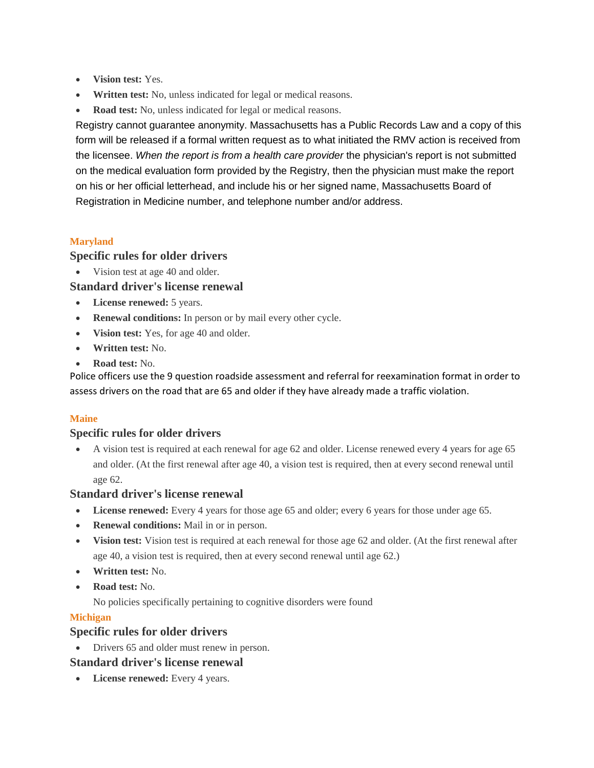- **Vision test:** Yes.
- **Written test:** No, unless indicated for legal or medical reasons.
- **Road test:** No, unless indicated for legal or medical reasons.

Registry cannot guarantee anonymity. Massachusetts has a Public Records Law and a copy of this form will be released if a formal written request as to what initiated the RMV action is received from the licensee. *When the report is from a health care provider* the physician's report is not submitted on the [medical evaluation form](http://www.massrmv.com/rmv/forms/20221.pdf) provided by the Registry, then the physician must make the report on his or her official letterhead, and include his or her signed name, Massachusetts Board of Registration in Medicine number, and telephone number and/or address.

### **Maryland**

### **Specific rules for older drivers**

• Vision test at age 40 and older.

### **Standard driver's license renewal**

- **License renewed:** 5 years.
- **Renewal conditions:** In person or by mail every other cycle.
- **Vision test:** Yes, for age 40 and older.
- **Written test:** No.
- **Road test:** No.

Police officers use the 9 question roadside assessment and referral for reexamination format in order to assess drivers on the road that are 65 and older if they have already made a traffic violation.

### **Maine**

### **Specific rules for older drivers**

 A vision test is required at each renewal for age 62 and older. License renewed every 4 years for age 65 and older. (At the first renewal after age 40, a vision test is required, then at every second renewal until age 62.

### **Standard driver's license renewal**

- **License renewed:** Every 4 years for those age 65 and older; every 6 years for those under age 65.
- **Renewal conditions:** Mail in or in person.
- **Vision test:** Vision test is required at each renewal for those age 62 and older. (At the first renewal after age 40, a vision test is required, then at every second renewal until age 62.)
- **Written test:** No.
- **Road test:** No.

No policies specifically pertaining to cognitive disorders were found

### **Michigan**

## **Specific rules for older drivers**

• Drivers 65 and older must renew in person.

## **Standard driver's license renewal**

**License renewed:** Every 4 years.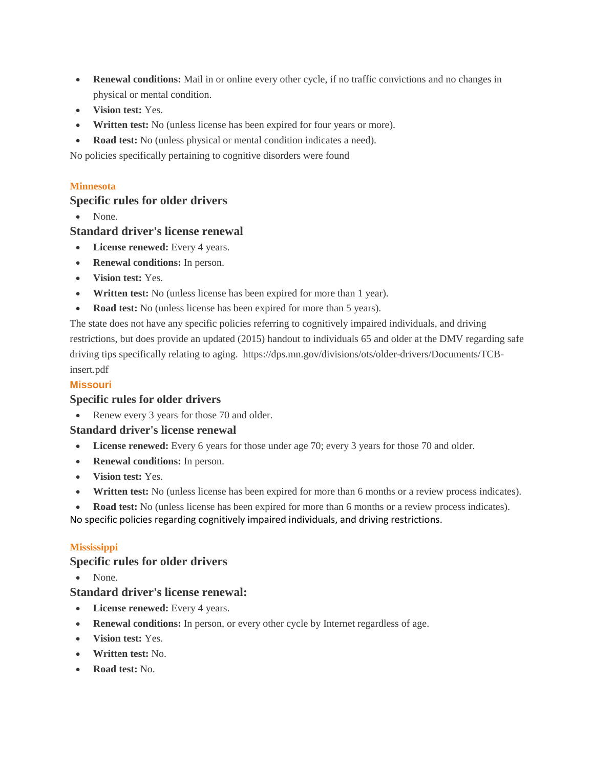- **Renewal conditions:** Mail in or online every other cycle, if no traffic convictions and no changes in physical or mental condition.
- **Vision test:** Yes.
- **Written test:** No (unless license has been expired for four years or more).
- **Road test:** No (unless physical or mental condition indicates a need).

No policies specifically pertaining to cognitive disorders were found

### **Minnesota**

## **Specific rules for older drivers**

• None.

## **Standard driver's license renewal**

- **License renewed:** Every 4 years.
- **Renewal conditions:** In person.
- **Vision test:** Yes.
- **Written test:** No (unless license has been expired for more than 1 year).
- **Road test:** No (unless license has been expired for more than 5 years).

The state does not have any specific policies referring to cognitively impaired individuals, and driving restrictions, but does provide an updated (2015) handout to individuals 65 and older at the DMV regarding safe driving tips specifically relating to aging. https://dps.mn.gov/divisions/ots/older-drivers/Documents/TCBinsert.pdf

### **Missouri**

### **Specific rules for older drivers**

• Renew every 3 years for those 70 and older.

### **Standard driver's license renewal**

- **License renewed:** Every 6 years for those under age 70; every 3 years for those 70 and older.
- **Renewal conditions:** In person.
- **Vision test:** Yes.
- **Written test:** No (unless license has been expired for more than 6 months or a review process indicates).
- **Road test:** No (unless license has been expired for more than 6 months or a review process indicates).

No specific policies regarding cognitively impaired individuals, and driving restrictions.

### **Mississippi**

### **Specific rules for older drivers**

• None.

- **License renewed:** Every 4 years.
- **Renewal conditions:** In person, or every other cycle by Internet regardless of age.
- **Vision test:** Yes.
- **Written test:** No.
- **Road test:** No.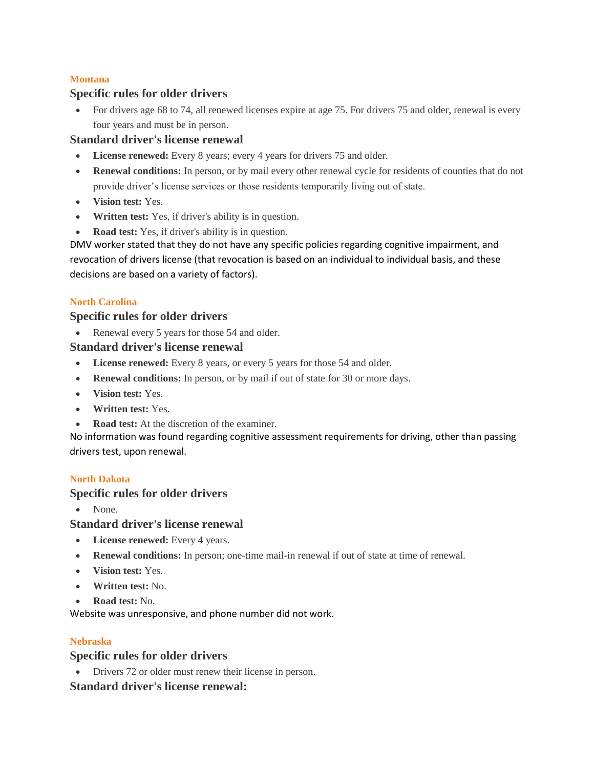## **Montana**

## **Specific rules for older drivers**

• For drivers age 68 to 74, all renewed licenses expire at age 75. For drivers 75 and older, renewal is every four years and must be in person.

## **Standard driver's license renewal**

- **License renewed:** Every 8 years; every 4 years for drivers 75 and older.
- **Renewal conditions:** In person, or by mail every other renewal cycle for residents of counties that do not provide driver's license services or those residents temporarily living out of state.
- **Vision test:** Yes.
- **Written test:** Yes, if driver's ability is in question.
- **Road test:** Yes, if driver's ability is in question.

DMV worker stated that they do not have any specific policies regarding cognitive impairment, and revocation of drivers license (that revocation is based on an individual to individual basis, and these decisions are based on a variety of factors).

## **North Carolina**

## **Specific rules for older drivers**

• Renewal every 5 years for those 54 and older.

## **Standard driver's license renewal**

- **License renewed:** Every 8 years, or every 5 years for those 54 and older.
- **Renewal conditions:** In person, or by mail if out of state for 30 or more days.
- **Vision test:** Yes.
- **Written test:** Yes.
- **Road test:** At the discretion of the examiner.

No information was found regarding cognitive assessment requirements for driving, other than passing drivers test, upon renewal.

## **North Dakota**

## **Specific rules for older drivers**

None.

## **Standard driver's license renewal**

- **License renewed:** Every 4 years.
- **Renewal conditions:** In person; one-time mail-in renewal if out of state at time of renewal.
- **Vision test:** Yes.
- **Written test:** No.
- **Road test:** No.

Website was unresponsive, and phone number did not work.

## **Nebraska**

## **Specific rules for older drivers**

• Drivers 72 or older must renew their license in person.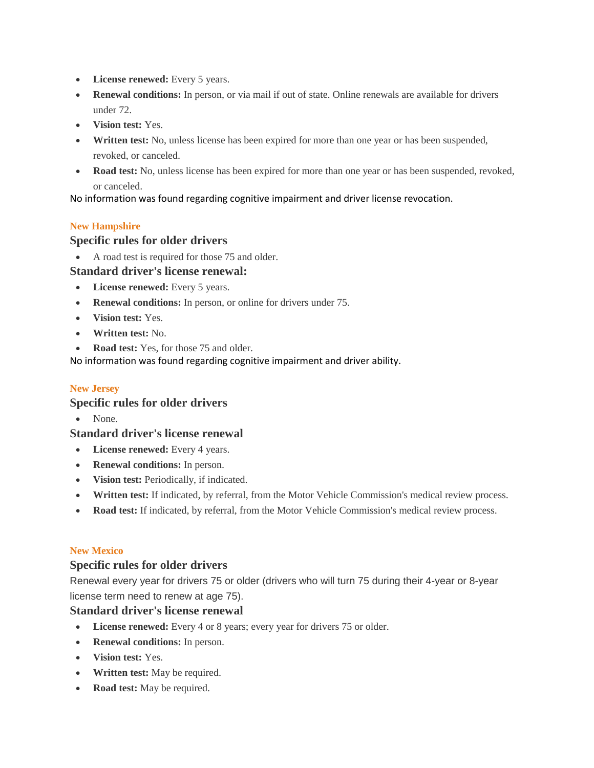- **License renewed:** Every 5 years.
- **Renewal conditions:** In person, or via mail if out of state. Online renewals are available for drivers under 72.
- **Vision test:** Yes.
- **Written test:** No, unless license has been expired for more than one year or has been suspended, revoked, or canceled.
- **Road test:** No, unless license has been expired for more than one year or has been suspended, revoked, or canceled.

No information was found regarding cognitive impairment and driver license revocation.

### **New Hampshire**

### **Specific rules for older drivers**

A road test is required for those 75 and older.

### **Standard driver's license renewal:**

- **License renewed:** Every 5 years.
- **Renewal conditions:** In person, or online for drivers under 75.
- **Vision test:** Yes.
- **Written test:** No.
- **Road test:** Yes, for those 75 and older.

No information was found regarding cognitive impairment and driver ability.

### **New Jersey**

## **Specific rules for older drivers**

• None.

### **Standard driver's license renewal**

- **License renewed:** Every 4 years.
- **Renewal conditions:** In person.
- **Vision test:** Periodically, if indicated.
- **Written test:** If indicated, by referral, from the Motor Vehicle Commission's medical review process.
- **Road test:** If indicated, by referral, from the Motor Vehicle Commission's medical review process.

### **New Mexico**

## **Specific rules for older drivers**

Renewal every year for drivers 75 or older (drivers who will turn 75 during their 4-year or 8-year license term need to renew at age 75).

- **License renewed:** Every 4 or 8 years; every year for drivers 75 or older.
- **Renewal conditions:** In person.
- **Vision test:** Yes.
- **Written test:** May be required.
- **Road test:** May be required.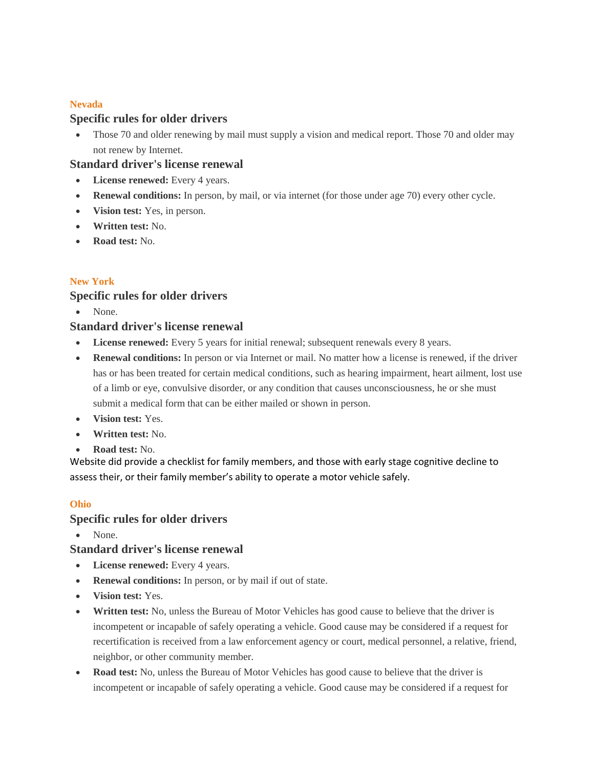### **Nevada**

## **Specific rules for older drivers**

 Those 70 and older renewing by mail must supply a vision and medical report. Those 70 and older may not renew by Internet.

## **Standard driver's license renewal**

- **License renewed:** Every 4 years.
- **Renewal conditions:** In person, by mail, or via internet (for those under age 70) every other cycle.
- **Vision test:** Yes, in person.
- **Written test:** No.
- **Road test:** No.

### **New York**

## **Specific rules for older drivers**

• None.

## **Standard driver's license renewal**

- **License renewed:** Every 5 years for initial renewal; subsequent renewals every 8 years.
- **Renewal conditions:** In person or via Internet or mail. No matter how a license is renewed, if the driver has or has been treated for certain medical conditions, such as hearing impairment, heart ailment, lost use of a limb or eye, convulsive disorder, or any condition that causes unconsciousness, he or she must submit a medical form that can be either mailed or shown in person.
- **Vision test:** Yes.
- **Written test:** No.
- **Road test:** No.

Website did provide a checklist for family members, and those with early stage cognitive decline to assess their, or their family member's ability to operate a motor vehicle safely.

### **Ohio**

## **Specific rules for older drivers**

• None.

- **License renewed:** Every 4 years.
- **Renewal conditions:** In person, or by mail if out of state.
- **Vision test:** Yes.
- **Written test:** No, unless the Bureau of Motor Vehicles has good cause to believe that the driver is incompetent or incapable of safely operating a vehicle. Good cause may be considered if a request for recertification is received from a law enforcement agency or court, medical personnel, a relative, friend, neighbor, or other community member.
- **Road test:** No, unless the Bureau of Motor Vehicles has good cause to believe that the driver is incompetent or incapable of safely operating a vehicle. Good cause may be considered if a request for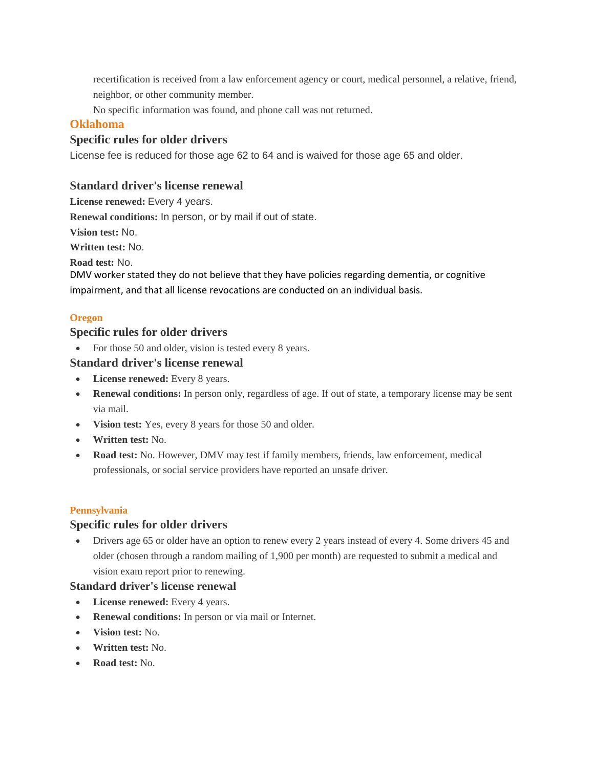recertification is received from a law enforcement agency or court, medical personnel, a relative, friend, neighbor, or other community member.

No specific information was found, and phone call was not returned.

## **Oklahoma**

## **Specific rules for older drivers**

License fee is reduced for those age 62 to 64 and is waived for those age 65 and older.

## **Standard driver's license renewal**

**License renewed:** Every 4 years.

**Renewal conditions:** In person, or by mail if out of state.

**Vision test:** No.

**Written test:** No.

**Road test:** No.

DMV worker stated they do not believe that they have policies regarding dementia, or cognitive impairment, and that all license revocations are conducted on an individual basis.

## **Oregon**

## **Specific rules for older drivers**

• For those 50 and older, vision is tested every 8 years.

### **Standard driver's license renewal**

- **License renewed:** Every 8 years.
- **Renewal conditions:** In person only, regardless of age. If out of state, a temporary license may be sent via mail.
- **Vision test:** Yes, every 8 years for those 50 and older.
- **Written test:** No.
- **Road test:** No. However, DMV may test if family members, friends, law enforcement, medical professionals, or social service providers have reported an unsafe driver.

### **Pennsylvania**

### **Specific rules for older drivers**

 Drivers age 65 or older have an option to renew every 2 years instead of every 4. Some drivers 45 and older (chosen through a random mailing of 1,900 per month) are requested to submit a medical and vision exam report prior to renewing.

- **License renewed:** Every 4 years.
- **Renewal conditions:** In person or via mail or Internet.
- **Vision test:** No.
- **Written test:** No.
- **Road test:** No.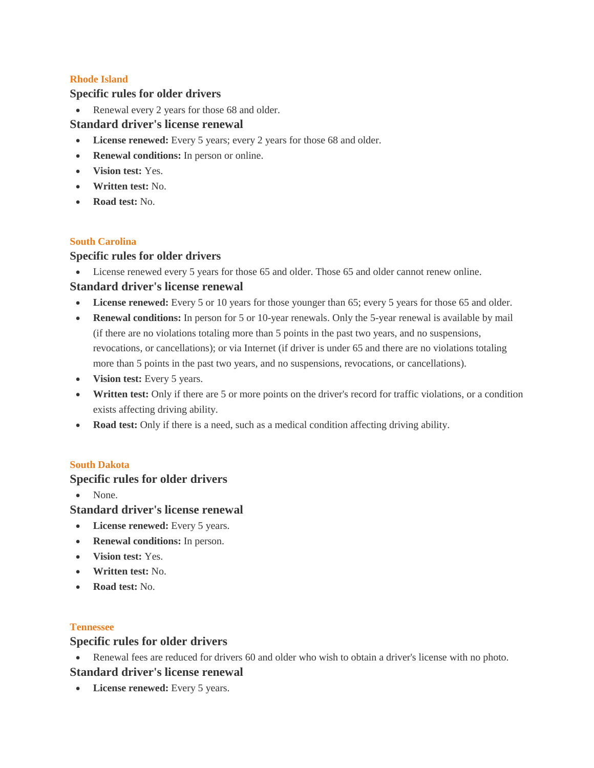### **Rhode Island**

### **Specific rules for older drivers**

• Renewal every 2 years for those 68 and older.

### **Standard driver's license renewal**

- **License renewed:** Every 5 years; every 2 years for those 68 and older.
- **Renewal conditions:** In person or online.
- **Vision test:** Yes.
- **Written test:** No.
- **Road test:** No.

### **South Carolina**

### **Specific rules for older drivers**

License renewed every 5 years for those 65 and older. Those 65 and older cannot renew online.

## **Standard driver's license renewal**

- **License renewed:** Every 5 or 10 years for those younger than 65; every 5 years for those 65 and older.
- **Renewal conditions:** In person for 5 or 10-year renewals. Only the 5-year renewal is available by mail (if there are no violations totaling more than 5 points in the past two years, and no suspensions, revocations, or cancellations); or via Internet (if driver is under 65 and there are no violations totaling more than 5 points in the past two years, and no suspensions, revocations, or cancellations).
- **Vision test:** Every 5 years.
- **Written test:** Only if there are 5 or more points on the driver's record for traffic violations, or a condition exists affecting driving ability.
- **Road test:** Only if there is a need, such as a medical condition affecting driving ability.

### **South Dakota**

## **Specific rules for older drivers**

• None.

## **Standard driver's license renewal**

- **License renewed:** Every 5 years.
- **Renewal conditions:** In person.
- **Vision test:** Yes.
- **Written test:** No.
- **Road test:** No.

### **Tennessee**

## **Specific rules for older drivers**

Renewal fees are reduced for drivers 60 and older who wish to obtain a driver's license with no photo.

## **Standard driver's license renewal**

**License renewed:** Every 5 years.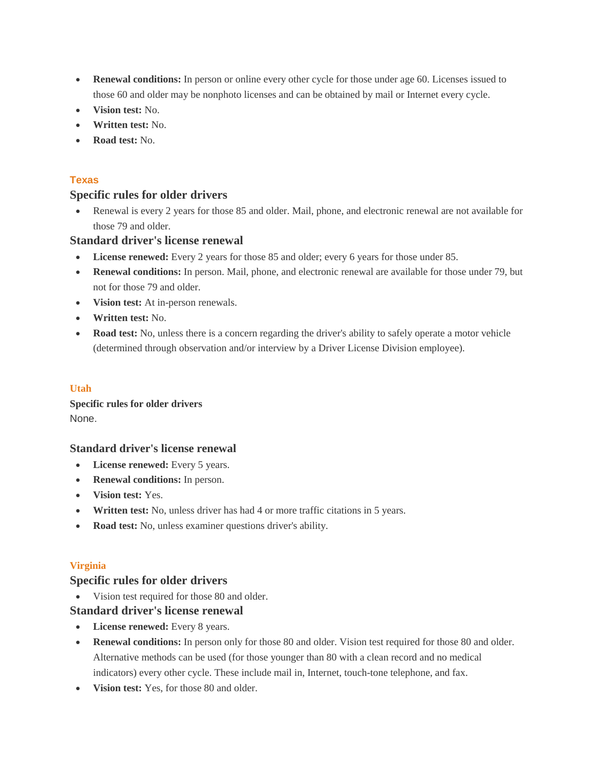- **Renewal conditions:** In person or online every other cycle for those under age 60. Licenses issued to those 60 and older may be nonphoto licenses and can be obtained by mail or Internet every cycle.
- **Vision test:** No.
- **Written test:** No.
- **Road test:** No.

### **Texas**

## **Specific rules for older drivers**

 Renewal is every 2 years for those 85 and older. Mail, phone, and electronic renewal are not available for those 79 and older.

### **Standard driver's license renewal**

- **License renewed:** Every 2 years for those 85 and older; every 6 years for those under 85.
- **Renewal conditions:** In person. Mail, phone, and electronic renewal are available for those under 79, but not for those 79 and older.
- **Vision test:** At in-person renewals.
- **Written test:** No.
- **Road test:** No, unless there is a concern regarding the driver's ability to safely operate a motor vehicle (determined through observation and/or interview by a Driver License Division employee).

### **Utah**

## **Specific rules for older drivers** None.

### **Standard driver's license renewal**

- **License renewed:** Every 5 years.
- **Renewal conditions:** In person.
- **Vision test:** Yes.
- **Written test:** No, unless driver has had 4 or more traffic citations in 5 years.
- **Road test:** No, unless examiner questions driver's ability.

### **Virginia**

### **Specific rules for older drivers**

• Vision test required for those 80 and older.

- **License renewed:** Every 8 years.
- **Renewal conditions:** In person only for those 80 and older. Vision test required for those 80 and older. Alternative methods can be used (for those younger than 80 with a clean record and no medical indicators) every other cycle. These include mail in, Internet, touch-tone telephone, and fax.
- **Vision test:** Yes, for those 80 and older.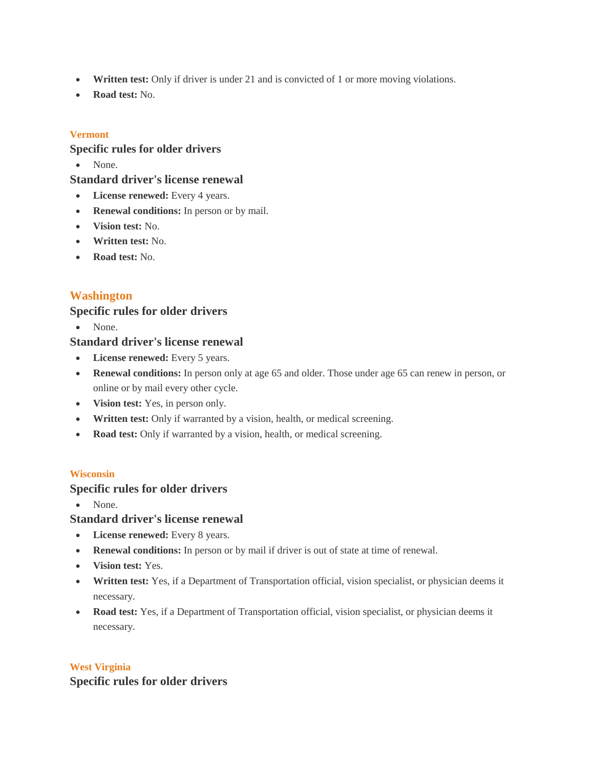- **Written test:** Only if driver is under 21 and is convicted of 1 or more moving violations.
- **Road test:** No.

## **Vermont**

## **Specific rules for older drivers**

• None.

### **Standard driver's license renewal**

- **License renewed:** Every 4 years.
- **Renewal conditions:** In person or by mail.
- **Vision test:** No.
- **Written test:** No.
- **Road test:** No.

# **Washington**

## **Specific rules for older drivers**

• None.

## **Standard driver's license renewal**

- **License renewed:** Every 5 years.
- **Renewal conditions:** In person only at age 65 and older. Those under age 65 can renew in person, or online or by mail every other cycle.
- **Vision test:** Yes, in person only.
- **Written test:** Only if warranted by a vision, health, or medical screening.
- **Road test:** Only if warranted by a vision, health, or medical screening.

### **Wisconsin**

## **Specific rules for older drivers**

None.

# **Standard driver's license renewal**

- **License renewed:** Every 8 years.
- **Renewal conditions:** In person or by mail if driver is out of state at time of renewal.
- **Vision test:** Yes.
- **Written test:** Yes, if a Department of Transportation official, vision specialist, or physician deems it necessary.
- **Road test:** Yes, if a Department of Transportation official, vision specialist, or physician deems it necessary.

## **West Virginia Specific rules for older drivers**